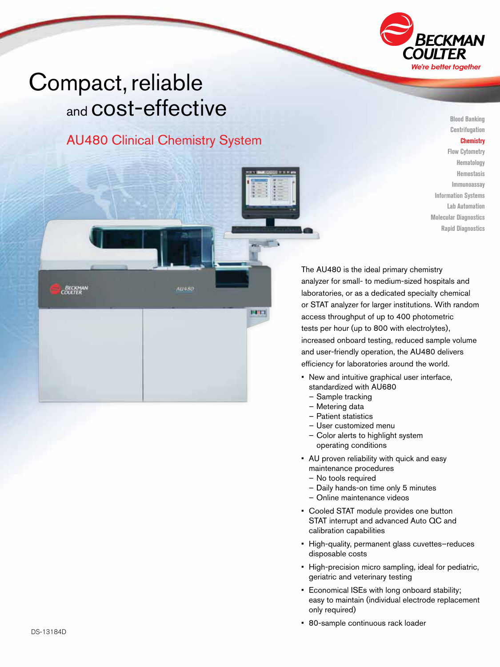

# Compact, reliable and COSt-effective

**BECKMAN** 

## AU480 Clinical Chemistry System

AU + SO

**PERTI** 

Blood Banking Centrifugation **Chemistry** Flow Cytometry Hematology Hemostasis Immunoassay Information Systems Lab Automation Molecular Diagnostics Rapid Diagnostics

The AU480 is the ideal primary chemistry analyzer for small- to medium-sized hospitals and laboratories, or as a dedicated specialty chemical or STAT analyzer for larger institutions. With random access throughput of up to 400 photometric tests per hour (up to 800 with electrolytes), increased onboard testing, reduced sample volume and user-friendly operation, the AU480 delivers efficiency for laboratories around the world.

- New and intuitive graphical user interface, standardized with AU680
	- Sample tracking
	- Metering data
	- Patient statistics
	- User customized menu
- Color alerts to highlight system operating conditions
- AU proven reliability with quick and easy maintenance procedures
	- No tools required
	- Daily hands-on time only 5 minutes
	- Online maintenance videos
- Cooled STAT module provides one button STAT interrupt and advanced Auto QC and calibration capabilities
- High-quality, permanent glass cuvettes–reduces disposable costs
- High-precision micro sampling, ideal for pediatric, geriatric and veterinary testing
- Economical ISEs with long onboard stability; easy to maintain (individual electrode replacement only required)
- 80-sample continuous rack loader